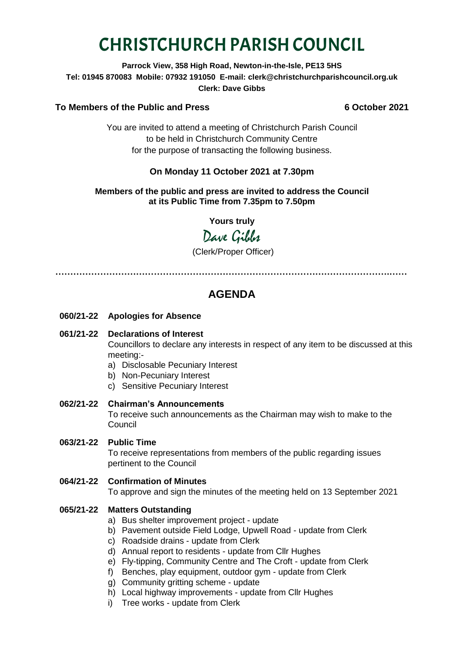# CHRISTCHURCH PARISH COUNCIL

## **Parrock View, 358 High Road, Newton-in-the-Isle, PE13 5HS Tel: 01945 870083 Mobile: 07932 191050 E-mail: clerk@christchurchparishcouncil.org.uk Clerk: Dave Gibbs**

# **To Members of the Public and Press 6 October 2021**

You are invited to attend a meeting of Christchurch Parish Council to be held in Christchurch Community Centre for the purpose of transacting the following business.

# **On Monday 11 October 2021 at 7.30pm**

#### **Members of the public and press are invited to address the Council at its Public Time from 7.35pm to 7.50pm**

**Yours truly**

Dave Gibbs

(Clerk/Proper Officer)

**………………………………………………………………………………………………….……**

# **AGENDA**

**060/21-22 Apologies for Absence**

# **061/21-22 Declarations of Interest**

Councillors to declare any interests in respect of any item to be discussed at this meeting:-

a) Disclosable Pecuniary Interest

- b) Non-Pecuniary Interest
- c) Sensitive Pecuniary Interest
- **062/21-22 Chairman's Announcements** To receive such announcements as the Chairman may wish to make to the Council

# **063/21-22 Public Time**

To receive representations from members of the public regarding issues pertinent to the Council

#### **064/21-22 Confirmation of Minutes**

To approve and sign the minutes of the meeting held on 13 September 2021

# **065/21-22 Matters Outstanding**

- a) Bus shelter improvement project update
- b) Pavement outside Field Lodge, Upwell Road update from Clerk
- c) Roadside drains update from Clerk
- d) Annual report to residents update from Cllr Hughes
- e) Fly-tipping, Community Centre and The Croft update from Clerk
- f) Benches, play equipment, outdoor gym update from Clerk
- g) Community gritting scheme update
- h) Local highway improvements update from Cllr Hughes
- i) Tree works update from Clerk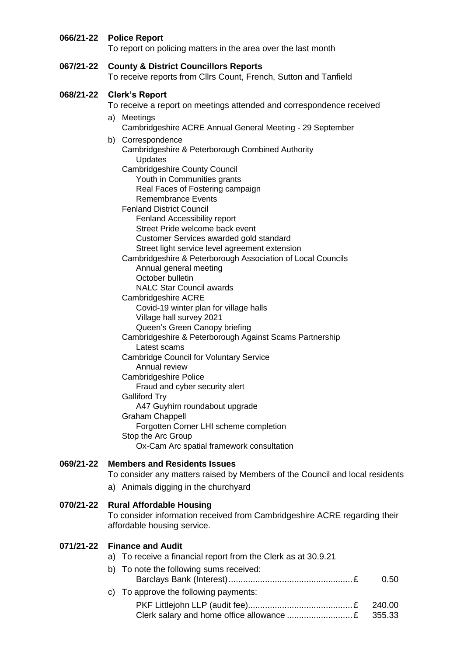# **066/21-22 Police Report**

To report on policing matters in the area over the last month

**067/21-22 County & District Councillors Reports**  To receive reports from Cllrs Count, French, Sutton and Tanfield

#### **068/21-22 Clerk's Report**

To receive a report on meetings attended and correspondence received

a) Meetings Cambridgeshire ACRE Annual General Meeting - 29 September

#### b) Correspondence Cambridgeshire & Peterborough Combined Authority Updates Cambridgeshire County Council Youth in Communities grants Real Faces of Fostering campaign Remembrance Events Fenland District Council Fenland Accessibility report Street Pride welcome back event Customer Services awarded gold standard Street light service level agreement extension Cambridgeshire & Peterborough Association of Local Councils Annual general meeting October bulletin NALC Star Council awards Cambridgeshire ACRE Covid-19 winter plan for village halls Village hall survey 2021 Queen's Green Canopy briefing Cambridgeshire & Peterborough Against Scams Partnership Latest scams Cambridge Council for Voluntary Service Annual review Cambridgeshire Police Fraud and cyber security alert

Galliford Try A47 Guyhirn roundabout upgrade Graham Chappell Forgotten Corner LHI scheme completion Stop the Arc Group Ox-Cam Arc spatial framework consultation

#### **069/21-22 Members and Residents Issues**

To consider any matters raised by Members of the Council and local residents

a) Animals digging in the churchyard

#### **070/21-22 Rural Affordable Housing**

To consider information received from Cambridgeshire ACRE regarding their affordable housing service.

#### **071/21-22 Finance and Audit**

a) To receive a financial report from the Clerk as at 30.9.21

# b) To note the following sums received: Barclays Bank (Interest)...................................................£ 0.50 c) To approve the following payments:

PKF Littlejohn LLP (audit fee)...........................................£ 240.00 Clerk salary and home office allowance ...........................£ 355.33